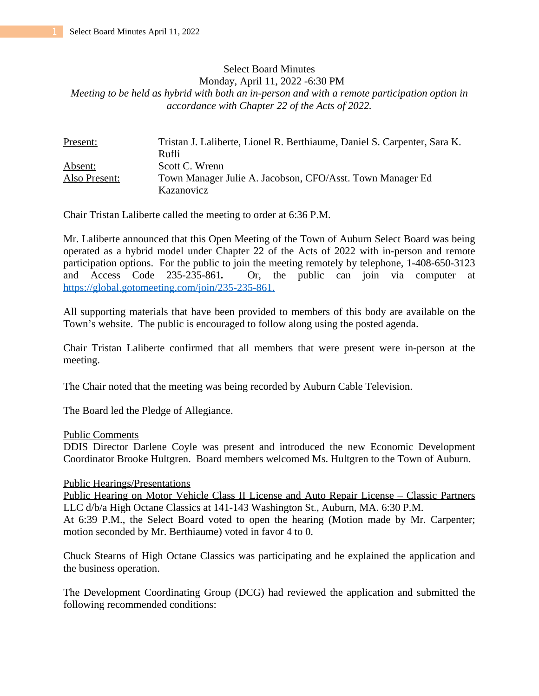# Select Board Minutes Monday, April 11, 2022 -6:30 PM *Meeting to be held as hybrid with both an in-person and with a remote participation option in accordance with Chapter 22 of the Acts of 2022.*

| Present:      | Tristan J. Laliberte, Lionel R. Berthiaume, Daniel S. Carpenter, Sara K. |
|---------------|--------------------------------------------------------------------------|
|               | Rufli                                                                    |
| Absent:       | Scott C. Wrenn                                                           |
| Also Present: | Town Manager Julie A. Jacobson, CFO/Asst. Town Manager Ed                |
|               | Kazanovicz                                                               |

Chair Tristan Laliberte called the meeting to order at 6:36 P.M.

Mr. Laliberte announced that this Open Meeting of the Town of Auburn Select Board was being operated as a hybrid model under Chapter 22 of the Acts of 2022 with in-person and remote participation options. For the public to join the meeting remotely by telephone, 1-408-650-3123 and Access Code 235-235-861*.* Or, the public can join via computer at [https://global.gotomeeting.com/join/235-235-861.](https://global.gotomeeting.com/join/235-235-861)

All supporting materials that have been provided to members of this body are available on the Town's website. The public is encouraged to follow along using the posted agenda.

Chair Tristan Laliberte confirmed that all members that were present were in-person at the meeting.

The Chair noted that the meeting was being recorded by Auburn Cable Television.

The Board led the Pledge of Allegiance.

## Public Comments

DDIS Director Darlene Coyle was present and introduced the new Economic Development Coordinator Brooke Hultgren. Board members welcomed Ms. Hultgren to the Town of Auburn.

## Public Hearings/Presentations

Public Hearing on Motor Vehicle Class II License and Auto Repair License – Classic Partners LLC d/b/a High Octane Classics at 141-143 Washington St., Auburn, MA. 6:30 P.M.

At 6:39 P.M., the Select Board voted to open the hearing (Motion made by Mr. Carpenter; motion seconded by Mr. Berthiaume) voted in favor 4 to 0.

Chuck Stearns of High Octane Classics was participating and he explained the application and the business operation.

The Development Coordinating Group (DCG) had reviewed the application and submitted the following recommended conditions: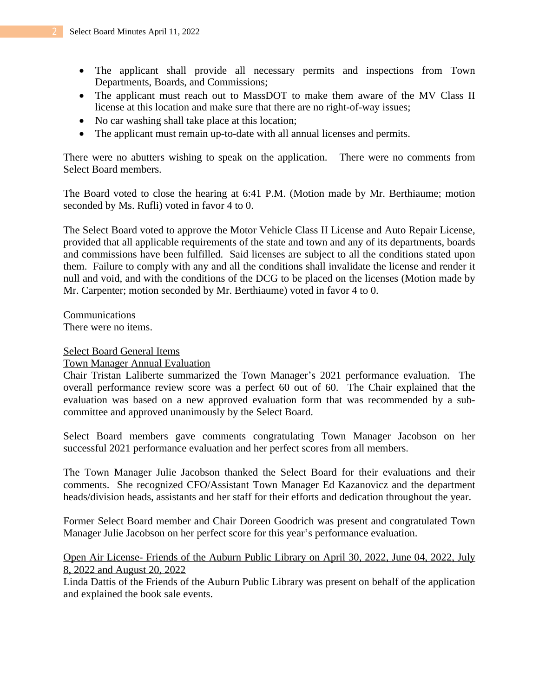- The applicant shall provide all necessary permits and inspections from Town Departments, Boards, and Commissions;
- The applicant must reach out to MassDOT to make them aware of the MV Class II license at this location and make sure that there are no right-of-way issues;
- No car washing shall take place at this location;
- The applicant must remain up-to-date with all annual licenses and permits.

There were no abutters wishing to speak on the application. There were no comments from Select Board members.

The Board voted to close the hearing at 6:41 P.M. (Motion made by Mr. Berthiaume; motion seconded by Ms. Rufli) voted in favor 4 to 0.

The Select Board voted to approve the Motor Vehicle Class II License and Auto Repair License, provided that all applicable requirements of the state and town and any of its departments, boards and commissions have been fulfilled. Said licenses are subject to all the conditions stated upon them. Failure to comply with any and all the conditions shall invalidate the license and render it null and void, and with the conditions of the DCG to be placed on the licenses (Motion made by Mr. Carpenter; motion seconded by Mr. Berthiaume) voted in favor 4 to 0.

Communications There were no items.

## Select Board General Items

## Town Manager Annual Evaluation

Chair Tristan Laliberte summarized the Town Manager's 2021 performance evaluation. The overall performance review score was a perfect 60 out of 60. The Chair explained that the evaluation was based on a new approved evaluation form that was recommended by a subcommittee and approved unanimously by the Select Board.

Select Board members gave comments congratulating Town Manager Jacobson on her successful 2021 performance evaluation and her perfect scores from all members.

The Town Manager Julie Jacobson thanked the Select Board for their evaluations and their comments. She recognized CFO/Assistant Town Manager Ed Kazanovicz and the department heads/division heads, assistants and her staff for their efforts and dedication throughout the year.

Former Select Board member and Chair Doreen Goodrich was present and congratulated Town Manager Julie Jacobson on her perfect score for this year's performance evaluation.

# Open Air License- Friends of the Auburn Public Library on April 30, 2022, June 04, 2022, July 8, 2022 and August 20, 2022

Linda Dattis of the Friends of the Auburn Public Library was present on behalf of the application and explained the book sale events.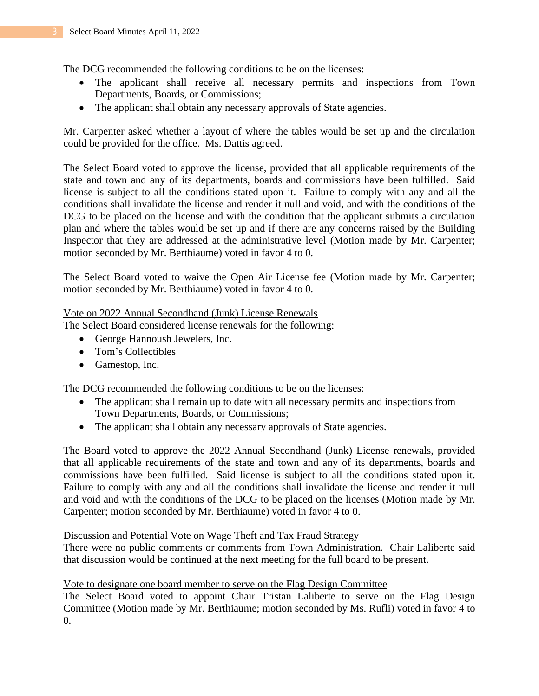The DCG recommended the following conditions to be on the licenses:

- The applicant shall receive all necessary permits and inspections from Town Departments, Boards, or Commissions;
- The applicant shall obtain any necessary approvals of State agencies.

Mr. Carpenter asked whether a layout of where the tables would be set up and the circulation could be provided for the office. Ms. Dattis agreed.

The Select Board voted to approve the license, provided that all applicable requirements of the state and town and any of its departments, boards and commissions have been fulfilled. Said license is subject to all the conditions stated upon it. Failure to comply with any and all the conditions shall invalidate the license and render it null and void, and with the conditions of the DCG to be placed on the license and with the condition that the applicant submits a circulation plan and where the tables would be set up and if there are any concerns raised by the Building Inspector that they are addressed at the administrative level (Motion made by Mr. Carpenter; motion seconded by Mr. Berthiaume) voted in favor 4 to 0.

The Select Board voted to waive the Open Air License fee (Motion made by Mr. Carpenter; motion seconded by Mr. Berthiaume) voted in favor 4 to 0.

## Vote on 2022 Annual Secondhand (Junk) License Renewals

The Select Board considered license renewals for the following:

- George Hannoush Jewelers, Inc.
- Tom's Collectibles
- Gamestop, Inc.

The DCG recommended the following conditions to be on the licenses:

- The applicant shall remain up to date with all necessary permits and inspections from Town Departments, Boards, or Commissions;
- The applicant shall obtain any necessary approvals of State agencies.

The Board voted to approve the 2022 Annual Secondhand (Junk) License renewals, provided that all applicable requirements of the state and town and any of its departments, boards and commissions have been fulfilled. Said license is subject to all the conditions stated upon it. Failure to comply with any and all the conditions shall invalidate the license and render it null and void and with the conditions of the DCG to be placed on the licenses (Motion made by Mr. Carpenter; motion seconded by Mr. Berthiaume) voted in favor 4 to 0.

## Discussion and Potential Vote on Wage Theft and Tax Fraud Strategy

There were no public comments or comments from Town Administration. Chair Laliberte said that discussion would be continued at the next meeting for the full board to be present.

# Vote to designate one board member to serve on the Flag Design Committee

The Select Board voted to appoint Chair Tristan Laliberte to serve on the Flag Design Committee (Motion made by Mr. Berthiaume; motion seconded by Ms. Rufli) voted in favor 4 to 0.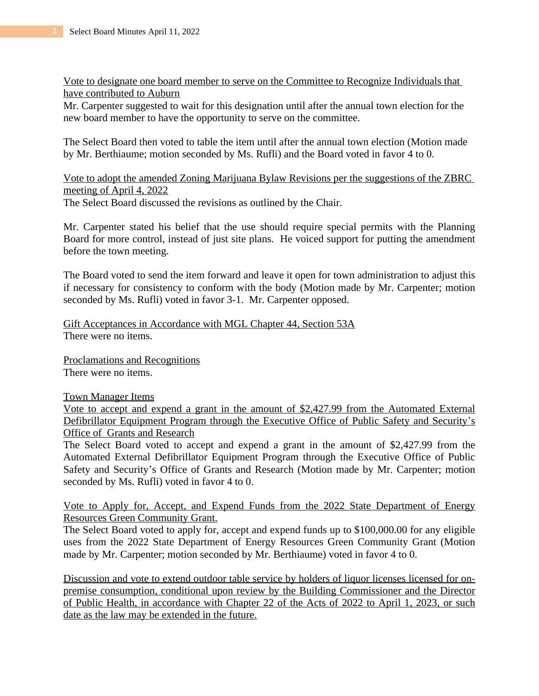Vote to designate one board member to serve on the Committee to Recognize Individuals that have contributed to Auburn

Mr. Carpenter suggested to wait for this designation until after the annual town election for the new board member to have the opportunity to serve on the committee.

The Select Board then voted to table the item until after the annual town election (Motion made by Mr. Berthiaume; motion seconded by Ms. Rufli) and the Board voted in favor 4 to 0.

Vote to adopt the amended Zoning Marijuana Bylaw Revisions per the suggestions of the ZBRC meeting of April 4, 2022 The Select Board discussed the revisions as outlined by the Chair.

Mr. Carpenter stated his belief that the use should require special permits with the Planning Board for more control, instead of just site plans. He voiced support for putting the amendment before the town meeting.

The Board voted to send the item forward and leave it open for town administration to adjust this if necessary for consistency to conform with the body (Motion made by Mr. Carpenter; motion seconded by Ms. Rufli) voted in favor 3-1. Mr. Carpenter opposed.

Gift Acceptances in Accordance with MGL Chapter 44, Section 53A There were no items.

Proclamations and Recognitions There were no items.

## Town Manager Items

Vote to accept and expend a grant in the amount of \$2,427.99 from the Automated External Defibrillator Equipment Program through the Executive Office of Public Safety and Security's Office of Grants and Research

The Select Board voted to accept and expend a grant in the amount of \$2,427.99 from the Automated External Defibrillator Equipment Program through the Executive Office of Public Safety and Security's Office of Grants and Research (Motion made by Mr. Carpenter; motion seconded by Ms. Rufli) voted in favor 4 to 0.

Vote to Apply for, Accept, and Expend Funds from the 2022 State Department of Energy Resources Green Community Grant.

The Select Board voted to apply for, accept and expend funds up to \$100,000.00 for any eligible uses from the 2022 State Department of Energy Resources Green Community Grant (Motion made by Mr. Carpenter; motion seconded by Mr. Berthiaume) voted in favor 4 to 0.

Discussion and vote to extend outdoor table service by holders of liquor licenses licensed for onpremise consumption, conditional upon review by the Building Commissioner and the Director of Public Health, in accordance with Chapter 22 of the Acts of 2022 to April 1, 2023, or such date as the law may be extended in the future.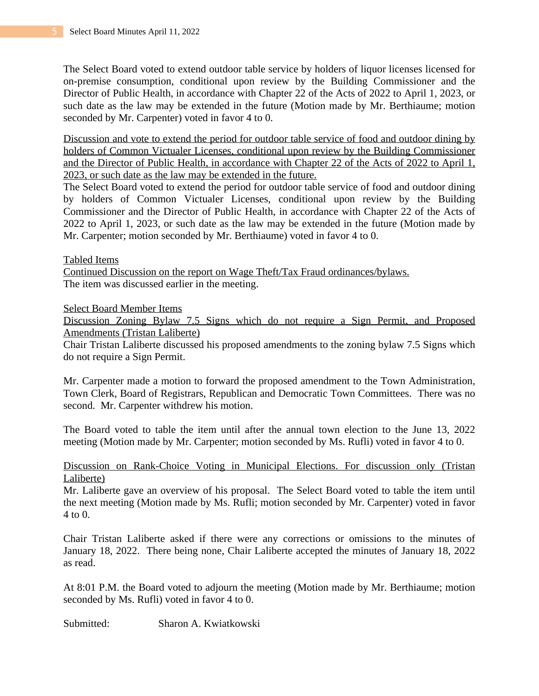The Select Board voted to extend outdoor table service by holders of liquor licenses licensed for on-premise consumption, conditional upon review by the Building Commissioner and the Director of Public Health, in accordance with Chapter 22 of the Acts of 2022 to April 1, 2023, or such date as the law may be extended in the future (Motion made by Mr. Berthiaume; motion seconded by Mr. Carpenter) voted in favor 4 to 0.

Discussion and vote to extend the period for outdoor table service of food and outdoor dining by holders of Common Victualer Licenses, conditional upon review by the Building Commissioner and the Director of Public Health, in accordance with Chapter 22 of the Acts of 2022 to April 1, 2023, or such date as the law may be extended in the future.

The Select Board voted to extend the period for outdoor table service of food and outdoor dining by holders of Common Victualer Licenses, conditional upon review by the Building Commissioner and the Director of Public Health, in accordance with Chapter 22 of the Acts of 2022 to April 1, 2023, or such date as the law may be extended in the future (Motion made by Mr. Carpenter; motion seconded by Mr. Berthiaume) voted in favor 4 to 0.

Tabled Items

Continued Discussion on the report on Wage Theft/Tax Fraud ordinances/bylaws. The item was discussed earlier in the meeting.

Select Board Member Items

Discussion Zoning Bylaw 7.5 Signs which do not require a Sign Permit, and Proposed Amendments (Tristan Laliberte)

Chair Tristan Laliberte discussed his proposed amendments to the zoning bylaw 7.5 Signs which do not require a Sign Permit.

Mr. Carpenter made a motion to forward the proposed amendment to the Town Administration, Town Clerk, Board of Registrars, Republican and Democratic Town Committees. There was no second. Mr. Carpenter withdrew his motion.

The Board voted to table the item until after the annual town election to the June 13, 2022 meeting (Motion made by Mr. Carpenter; motion seconded by Ms. Rufli) voted in favor 4 to 0.

# Discussion on Rank-Choice Voting in Municipal Elections. For discussion only (Tristan Laliberte)

Mr. Laliberte gave an overview of his proposal. The Select Board voted to table the item until the next meeting (Motion made by Ms. Rufli; motion seconded by Mr. Carpenter) voted in favor 4 to 0.

Chair Tristan Laliberte asked if there were any corrections or omissions to the minutes of January 18, 2022. There being none, Chair Laliberte accepted the minutes of January 18, 2022 as read.

At 8:01 P.M. the Board voted to adjourn the meeting (Motion made by Mr. Berthiaume; motion seconded by Ms. Rufli) voted in favor 4 to 0.

Submitted: Sharon A. Kwiatkowski